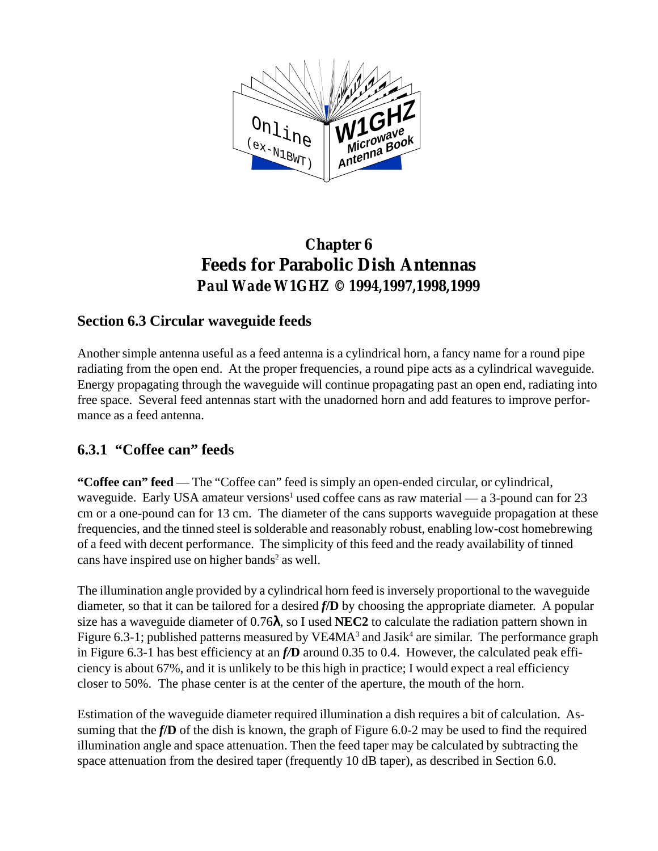

## **Chapter 6 Feeds for Parabolic Dish Antennas** *Paul Wade W1GHZ © 1994,1997,1998,1999*

#### **Section 6.3 Circular waveguide feeds**

Another simple antenna useful as a feed antenna is a cylindrical horn, a fancy name for a round pipe radiating from the open end. At the proper frequencies, a round pipe acts as a cylindrical waveguide. Energy propagating through the waveguide will continue propagating past an open end, radiating into free space. Several feed antennas start with the unadorned horn and add features to improve performance as a feed antenna.

#### **6.3.1 "Coffee can" feeds**

**"Coffee can" feed** — The "Coffee can" feed is simply an open-ended circular, or cylindrical, waveguide. Early USA amateur versions<sup>1</sup> used coffee cans as raw material — a 3-pound can for 23 cm or a one-pound can for 13 cm. The diameter of the cans supports waveguide propagation at these frequencies, and the tinned steel is solderable and reasonably robust, enabling low-cost homebrewing of a feed with decent performance. The simplicity of this feed and the ready availability of tinned cans have inspired use on higher bands<sup>2</sup> as well.

The illumination angle provided by a cylindrical horn feed is inversely proportional to the waveguide diameter, so that it can be tailored for a desired *f***/D** by choosing the appropriate diameter. A popular size has a waveguide diameter of 0.76λ, so I used **NEC2** to calculate the radiation pattern shown in Figure 6.3-1; published patterns measured by  $VE4MA<sup>3</sup>$  and Jasik<sup>4</sup> are similar. The performance graph in Figure 6.3-1 has best efficiency at an *f/***D** around 0.35 to 0.4. However, the calculated peak efficiency is about 67%, and it is unlikely to be this high in practice; I would expect a real efficiency closer to 50%. The phase center is at the center of the aperture, the mouth of the horn.

Estimation of the waveguide diameter required illumination a dish requires a bit of calculation. Assuming that the *f***/D** of the dish is known, the graph of Figure 6.0-2 may be used to find the required illumination angle and space attenuation. Then the feed taper may be calculated by subtracting the space attenuation from the desired taper (frequently 10 dB taper), as described in Section 6.0.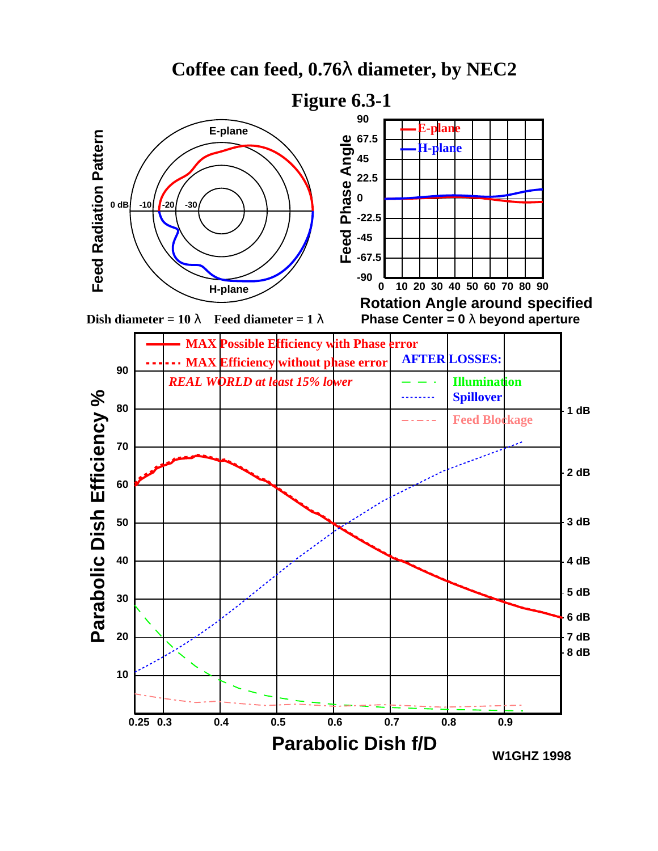





**Phase Center = 0** λ **beyond aperture**

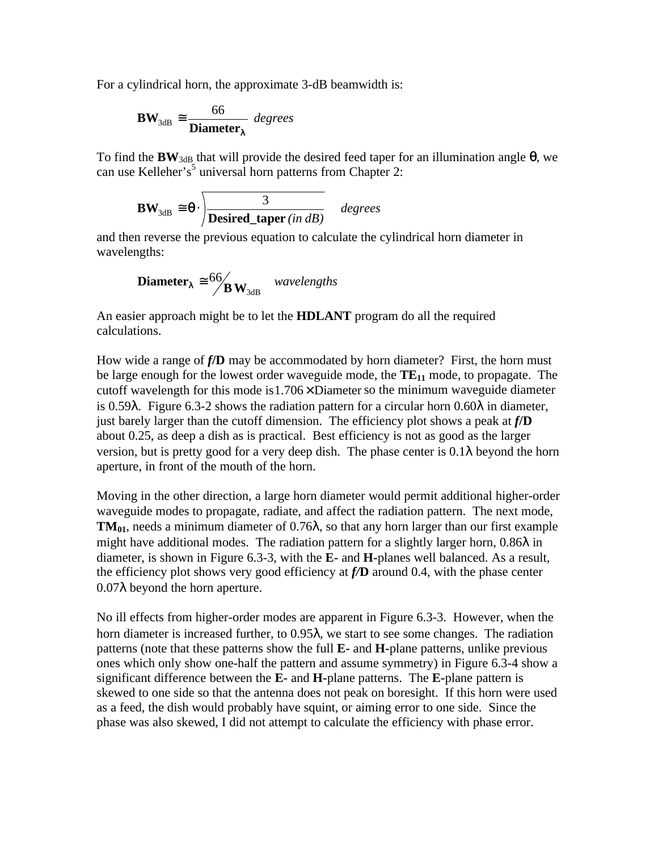For a cylindrical horn, the approximate 3-dB beamwidth is:

$$
BW_{3dB} \cong \frac{66}{Diameter_{\lambda}} \text{ degrees}
$$

To find the **BW**3dB that will provide the desired feed taper for an illumination angle *q*, we can use Kelleher's<sup>5</sup> universal horn patterns from Chapter 2:

$$
BW_{3dB} \cong \theta \cdot \sqrt{\frac{3}{Desired\_taper(in dB)}} \quad degrees
$$

and then reverse the previous equation to calculate the cylindrical horn diameter in wavelengths:

**Diameter**<sub>$$
\lambda
$$</sub>  $\cong$  <sup>66</sup>/<sub>**B**</sub>  $W_{3dB}$  wavelengths

An easier approach might be to let the **HDLANT** program do all the required calculations.

How wide a range of *f***/D** may be accommodated by horn diameter? First, the horn must be large enough for the lowest order waveguide mode, the **TE<sup>11</sup>** mode, to propagate. The cutoff wavelength for this mode is  $1.706 \times$  Diameter so the minimum waveguide diameter is 0.59λ. Figure 6.3-2 shows the radiation pattern for a circular horn 0.60λ in diameter, just barely larger than the cutoff dimension. The efficiency plot shows a peak at *f***/D** about 0.25, as deep a dish as is practical. Best efficiency is not as good as the larger version, but is pretty good for a very deep dish. The phase center is  $0.1\lambda$  beyond the horn aperture, in front of the mouth of the horn.

Moving in the other direction, a large horn diameter would permit additional higher-order waveguide modes to propagate, radiate, and affect the radiation pattern. The next mode, **TM01**, needs a minimum diameter of 0.76λ, so that any horn larger than our first example might have additional modes. The radiation pattern for a slightly larger horn,  $0.86\lambda$  in diameter, is shown in Figure 6.3-3, with the **E-** and **H-**planes well balanced. As a result, the efficiency plot shows very good efficiency at *f/***D** around 0.4, with the phase center 0.07λ beyond the horn aperture.

No ill effects from higher-order modes are apparent in Figure 6.3-3. However, when the horn diameter is increased further, to 0.95λ, we start to see some changes. The radiation patterns (note that these patterns show the full **E-** and **H-**plane patterns, unlike previous ones which only show one-half the pattern and assume symmetry) in Figure 6.3-4 show a significant difference between the **E-** and **H-**plane patterns. The **E-**plane pattern is skewed to one side so that the antenna does not peak on boresight. If this horn were used as a feed, the dish would probably have squint, or aiming error to one side. Since the phase was also skewed, I did not attempt to calculate the efficiency with phase error.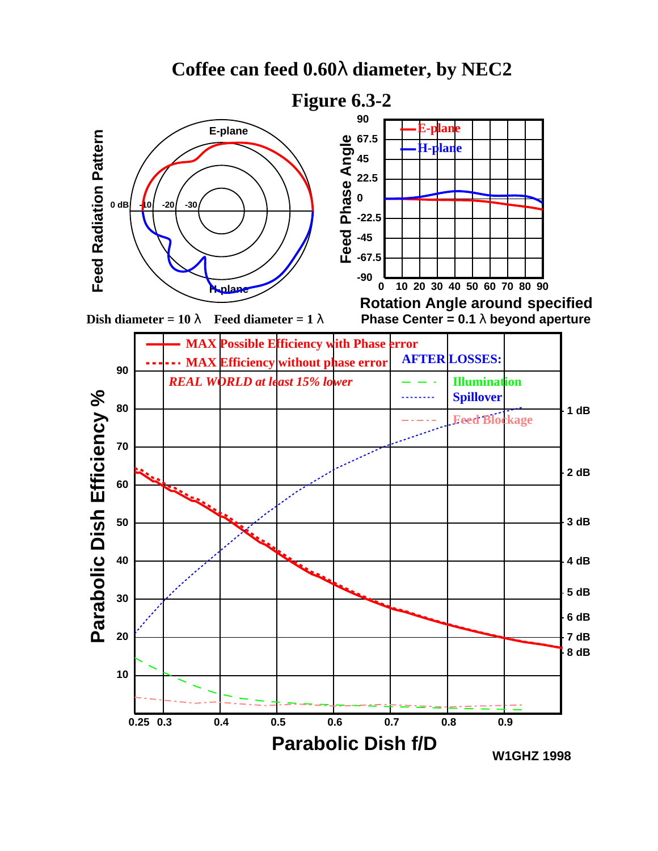



**Dish diameter = 10**  $\lambda$  **Feed diameter = 1**  $\lambda$ 



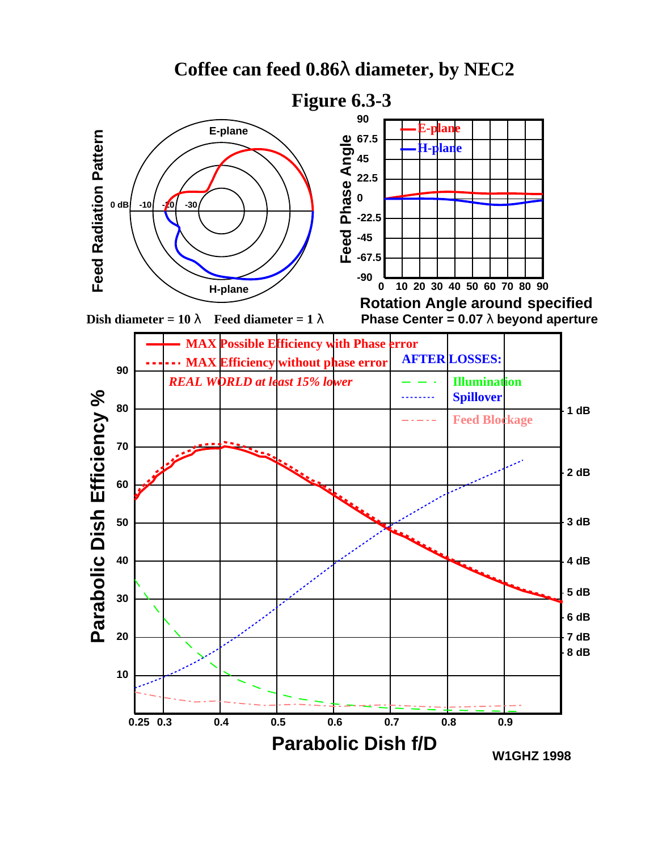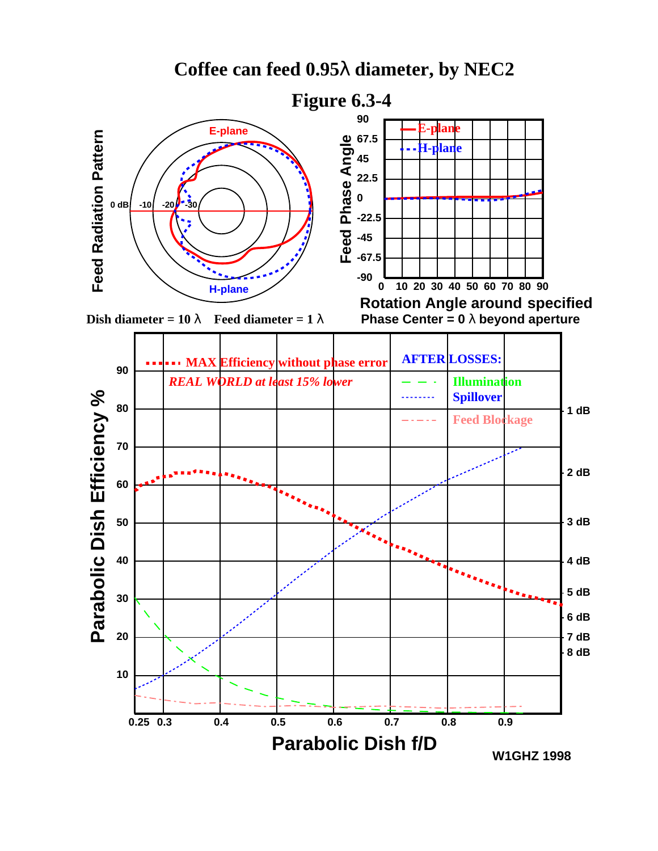



**Dish diameter = 10**  $\lambda$  **Feed diameter = 1**  $\lambda$ 



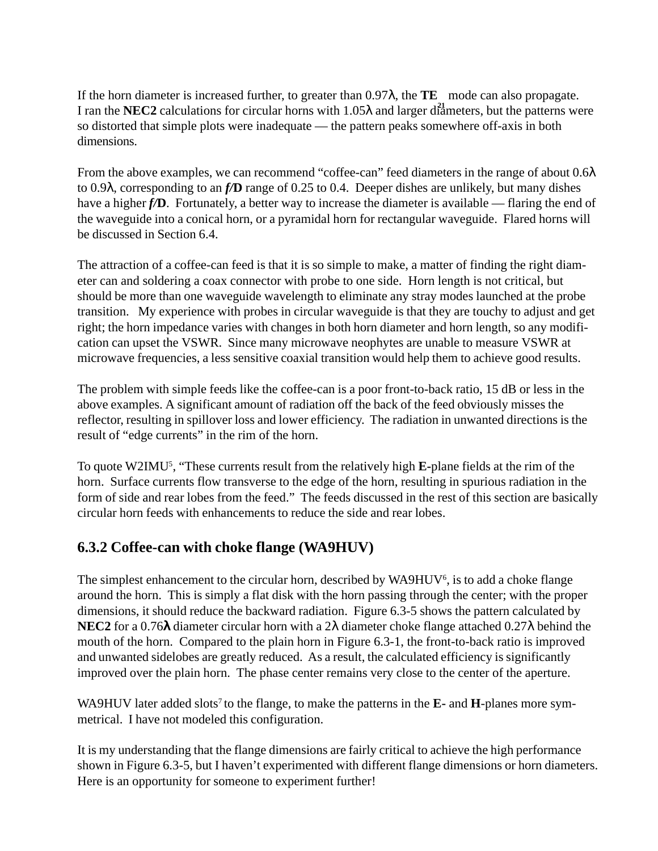If the horn diameter is increased further, to greater than 0.97λ, the **TE** mode can also propagate. I ran the **NEC2** calculations for circular horns with 1.05λ and larger diameters, but the patterns were so distorted that simple plots were inadequate — the pattern peaks somewhere off-axis in both dimensions.

From the above examples, we can recommend "coffee-can" feed diameters in the range of about 0.6λ to 0.9λ, corresponding to an *f/***D** range of 0.25 to 0.4. Deeper dishes are unlikely, but many dishes have a higher *f*/**D**. Fortunately, a better way to increase the diameter is available — flaring the end of the waveguide into a conical horn, or a pyramidal horn for rectangular waveguide. Flared horns will be discussed in Section 6.4.

The attraction of a coffee-can feed is that it is so simple to make, a matter of finding the right diameter can and soldering a coax connector with probe to one side. Horn length is not critical, but should be more than one waveguide wavelength to eliminate any stray modes launched at the probe transition. My experience with probes in circular waveguide is that they are touchy to adjust and get right; the horn impedance varies with changes in both horn diameter and horn length, so any modification can upset the VSWR. Since many microwave neophytes are unable to measure VSWR at microwave frequencies, a less sensitive coaxial transition would help them to achieve good results.

The problem with simple feeds like the coffee-can is a poor front-to-back ratio, 15 dB or less in the above examples. A significant amount of radiation off the back of the feed obviously misses the reflector, resulting in spillover loss and lower efficiency. The radiation in unwanted directions is the result of "edge currents" in the rim of the horn.

To quote W2IMU5 , "These currents result from the relatively high **E-**plane fields at the rim of the horn. Surface currents flow transverse to the edge of the horn, resulting in spurious radiation in the form of side and rear lobes from the feed." The feeds discussed in the rest of this section are basically circular horn feeds with enhancements to reduce the side and rear lobes.

#### **6.3.2 Coffee-can with choke flange (WA9HUV)**

The simplest enhancement to the circular horn, described by WA9HUV<sup>6</sup>, is to add a choke flange around the horn. This is simply a flat disk with the horn passing through the center; with the proper dimensions, it should reduce the backward radiation. Figure 6.3-5 shows the pattern calculated by **NEC2** for a 0.76λ diameter circular horn with a 2λ diameter choke flange attached 0.27λ behind the mouth of the horn. Compared to the plain horn in Figure 6.3-1, the front-to-back ratio is improved and unwanted sidelobes are greatly reduced. As a result, the calculated efficiency is significantly improved over the plain horn. The phase center remains very close to the center of the aperture.

WA9HUV later added slots<sup>7</sup> to the flange, to make the patterns in the **E**- and **H**-planes more symmetrical. I have not modeled this configuration.

It is my understanding that the flange dimensions are fairly critical to achieve the high performance shown in Figure 6.3-5, but I haven't experimented with different flange dimensions or horn diameters. Here is an opportunity for someone to experiment further!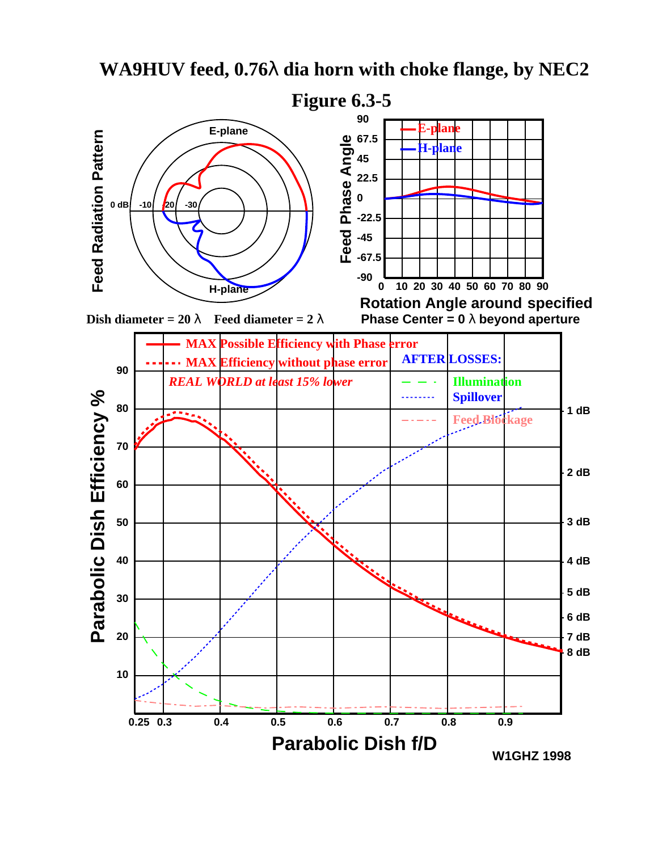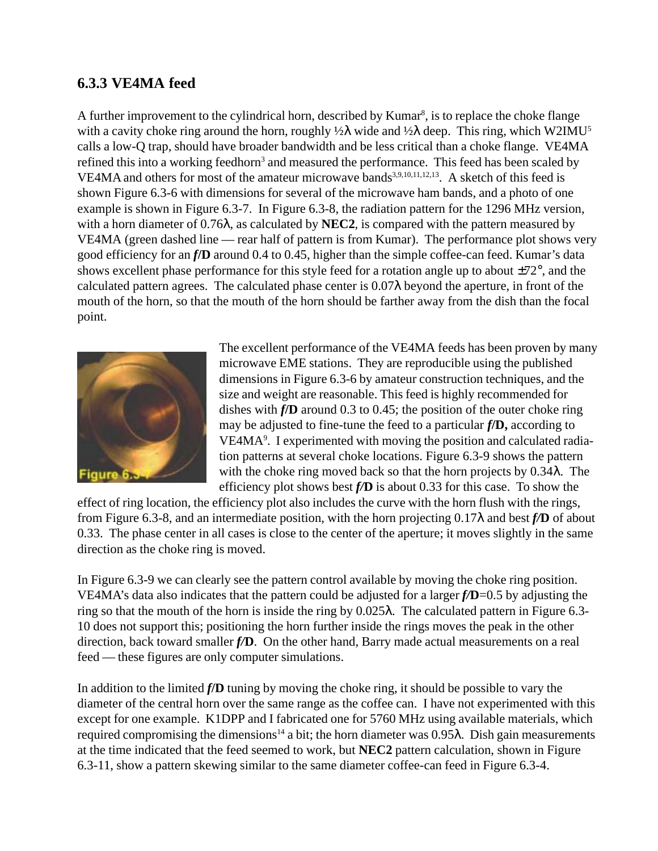#### **6.3.3 VE4MA feed**

A further improvement to the cylindrical horn, described by Kumar<sup>8</sup>, is to replace the choke flange with a cavity choke ring around the horn, roughly  $\frac{1}{2}\lambda$  wide and  $\frac{1}{2}\lambda$  deep. This ring, which W2IMU<sup>5</sup> calls a low-Q trap, should have broader bandwidth and be less critical than a choke flange. VE4MA refined this into a working feedhorn<sup>3</sup> and measured the performance. This feed has been scaled by VE4MA and others for most of the amateur microwave bands<sup>3,9,10,11,12,13</sup>. A sketch of this feed is shown Figure 6.3-6 with dimensions for several of the microwave ham bands, and a photo of one example is shown in Figure 6.3-7. In Figure 6.3-8, the radiation pattern for the 1296 MHz version, with a horn diameter of 0.76λ, as calculated by **NEC2**, is compared with the pattern measured by VE4MA (green dashed line — rear half of pattern is from Kumar). The performance plot shows very good efficiency for an *f***/D** around 0.4 to 0.45, higher than the simple coffee-can feed. Kumar's data shows excellent phase performance for this style feed for a rotation angle up to about ±72°, and the calculated pattern agrees. The calculated phase center is  $0.07\lambda$  beyond the aperture, in front of the mouth of the horn, so that the mouth of the horn should be farther away from the dish than the focal point.



The excellent performance of the VE4MA feeds has been proven by many microwave EME stations. They are reproducible using the published dimensions in Figure 6.3-6 by amateur construction techniques, and the size and weight are reasonable. This feed is highly recommended for dishes with *f***/D** around 0.3 to 0.45; the position of the outer choke ring may be adjusted to fine-tune the feed to a particular *f***/D,** according to VE4MA9 . I experimented with moving the position and calculated radiation patterns at several choke locations. Figure 6.3-9 shows the pattern with the choke ring moved back so that the horn projects by 0.34λ. The efficiency plot shows best *f/***D** is about 0.33 for this case. To show the

effect of ring location, the efficiency plot also includes the curve with the horn flush with the rings, from Figure 6.3-8, and an intermediate position, with the horn projecting 0.17λ and best *f/***D** of about 0.33. The phase center in all cases is close to the center of the aperture; it moves slightly in the same direction as the choke ring is moved.

In Figure 6.3-9 we can clearly see the pattern control available by moving the choke ring position. VE4MA's data also indicates that the pattern could be adjusted for a larger *f/***D**=0.5 by adjusting the ring so that the mouth of the horn is inside the ring by 0.025λ. The calculated pattern in Figure 6.3- 10 does not support this; positioning the horn further inside the rings moves the peak in the other direction, back toward smaller *f/***D**. On the other hand, Barry made actual measurements on a real feed — these figures are only computer simulations.

In addition to the limited *f***/D** tuning by moving the choke ring, it should be possible to vary the diameter of the central horn over the same range as the coffee can. I have not experimented with this except for one example. K1DPP and I fabricated one for 5760 MHz using available materials, which required compromising the dimensions<sup>14</sup> a bit; the horn diameter was 0.95λ. Dish gain measurements at the time indicated that the feed seemed to work, but **NEC2** pattern calculation, shown in Figure 6.3-11, show a pattern skewing similar to the same diameter coffee-can feed in Figure 6.3-4.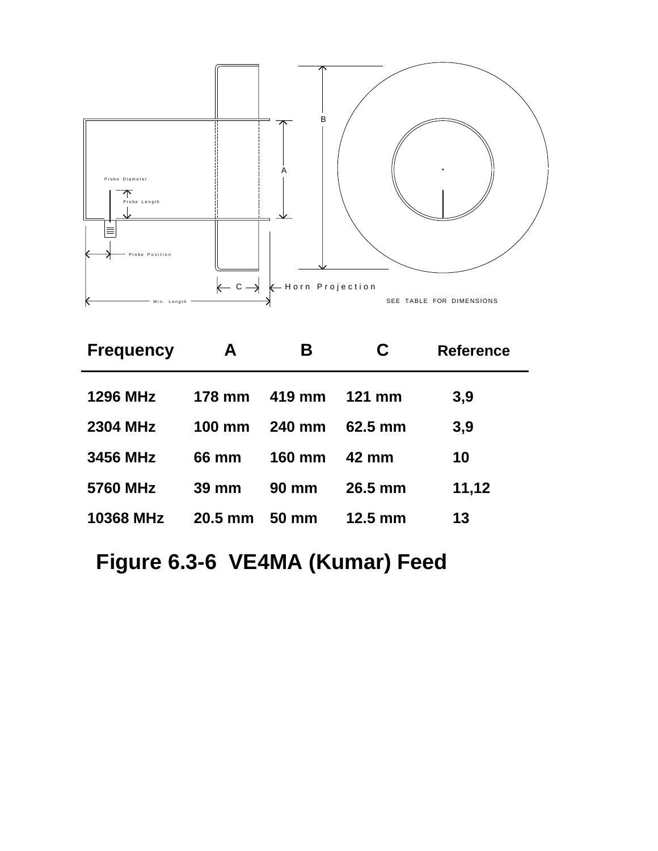

| <b>Frequency</b> | A                | Β             | C                 | <b>Reference</b> |
|------------------|------------------|---------------|-------------------|------------------|
| <b>1296 MHz</b>  | <b>178 mm</b>    | 419 mm        | <b>121 mm</b>     | 3,9              |
| <b>2304 MHz</b>  | $100 \text{ mm}$ | <b>240 mm</b> | $62.5 \text{ mm}$ | 3,9              |
| 3456 MHz         | 66 mm            | <b>160 mm</b> | 42 mm             | 10               |
| 5760 MHz         | $39 \text{ mm}$  | <b>90 mm</b>  | $26.5 \text{ mm}$ | 11,12            |
| <b>10368 MHz</b> | $20.5$ mm        | 50 mm         | $12.5 \text{ mm}$ | 13               |

# **Figure 6.3-6 VE4MA (Kumar) Feed**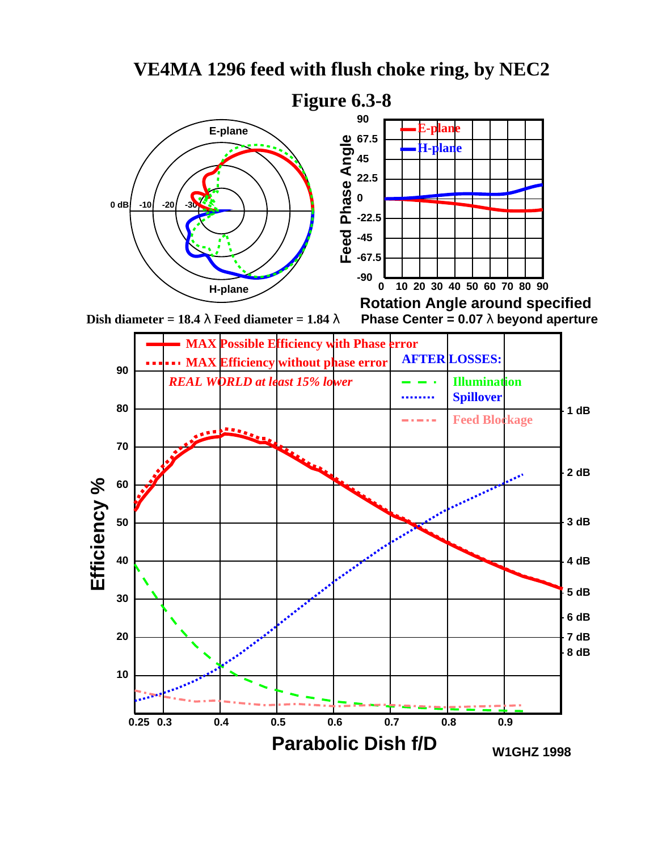

**0.25 0.3 0.4 0.5 0.6 0.7 0.8 0.9**

**Parabolic Dish f/D**

## **VE4MA 1296 feed with flush choke ring, by NEC2**

**W1GHZ 1998**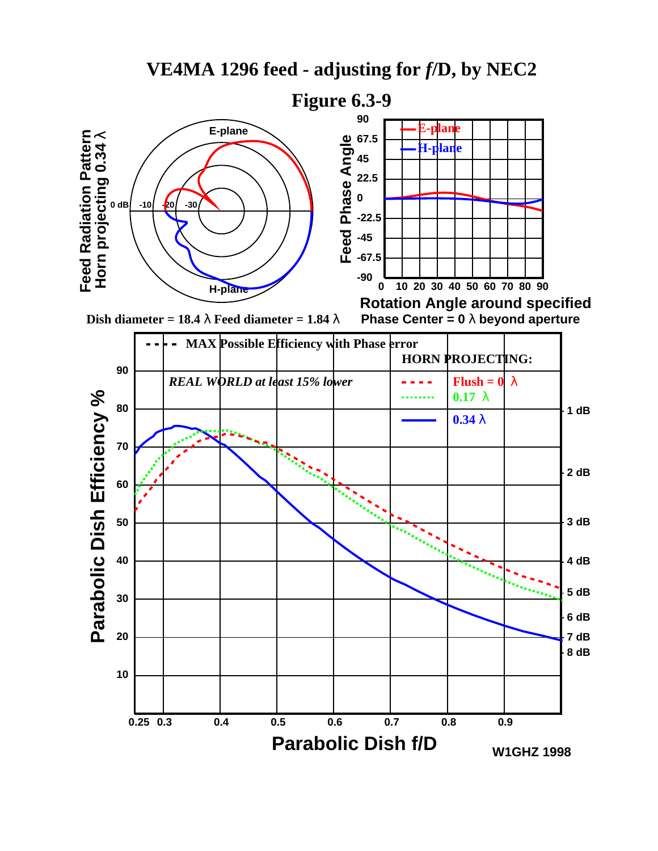



**Dish diameter = 18.4**  $\lambda$  **Feed diameter = 1.84**  $\lambda$ 

**Rotation Angle around specified Phase Center = 0** λ **beyond aperture**

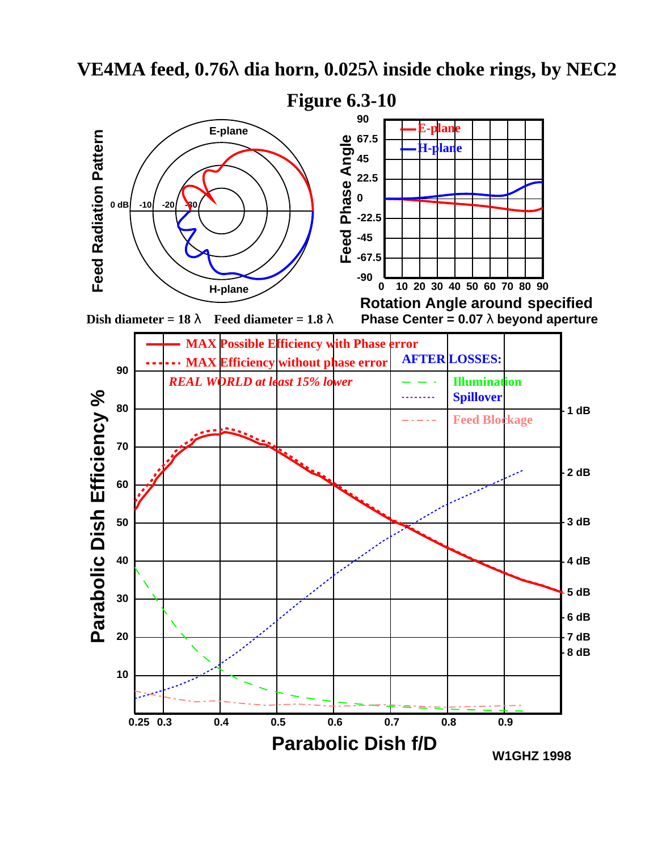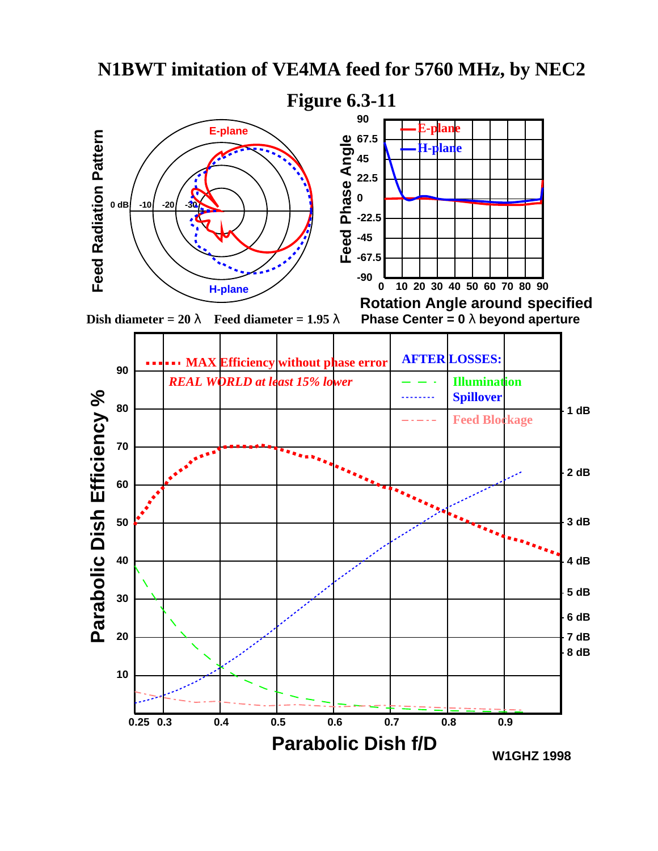



**Dish diameter = 20**  $\lambda$  **Feed diameter = 1.95**  $\lambda$ 



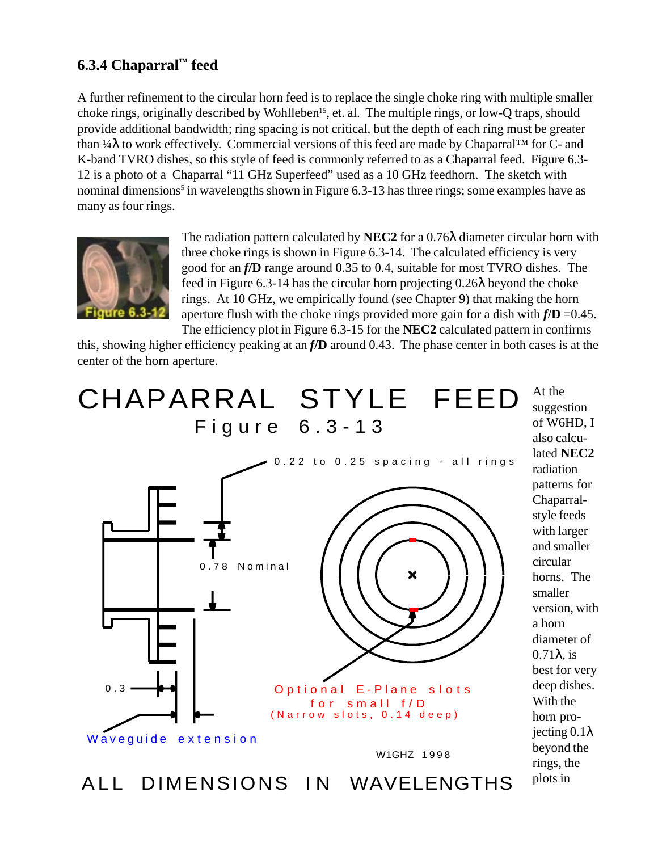#### **6.3.4 Chaparral™ feed**

A further refinement to the circular horn feed is to replace the single choke ring with multiple smaller choke rings, originally described by Wohlleben<sup>15</sup>, et. al. The multiple rings, or low-Q traps, should provide additional bandwidth; ring spacing is not critical, but the depth of each ring must be greater than ¼λ to work effectively. Commercial versions of this feed are made by Chaparral™ for C- and K-band TVRO dishes, so this style of feed is commonly referred to as a Chaparral feed. Figure 6.3- 12 is a photo of a Chaparral "11 GHz Superfeed" used as a 10 GHz feedhorn. The sketch with nominal dimensions<sup>5</sup> in wavelengths shown in Figure 6.3-13 has three rings; some examples have as many as four rings.



0.3

Waveguide extension

The radiation pattern calculated by **NEC2** for a 0.76λ diameter circular horn with three choke rings is shown in Figure 6.3-14. The calculated efficiency is very good for an *f***/D** range around 0.35 to 0.4, suitable for most TVRO dishes. The feed in Figure 6.3-14 has the circular horn projecting  $0.26\lambda$  beyond the choke rings. At 10 GHz, we empirically found (see Chapter 9) that making the horn aperture flush with the choke rings provided more gain for a dish with *f***/D** =0.45. The efficiency plot in Figure 6.3-15 for the **NEC2** calculated pattern in confirms

this, showing higher efficiency peaking at an *f***/D** around 0.43. The phase center in both cases is at the center of the horn aperture.

## At the CHAPARRAL STYLE FEED Figure 6.3-13



Optional E-Plane slots (Narrow slots, 0.14 deep) for small f/D

W1GHZ 1998

suggestion of W6HD, I also calculated **NEC2** radiation patterns for Chaparralstyle feeds with larger and smaller circular horns. The smaller version, with a horn diameter of 0.71λ, is best for very deep dishes. With the horn projecting 0.1λ beyond the rings, the

plots in

ALL DIMENSIONS IN WAVELENGTHS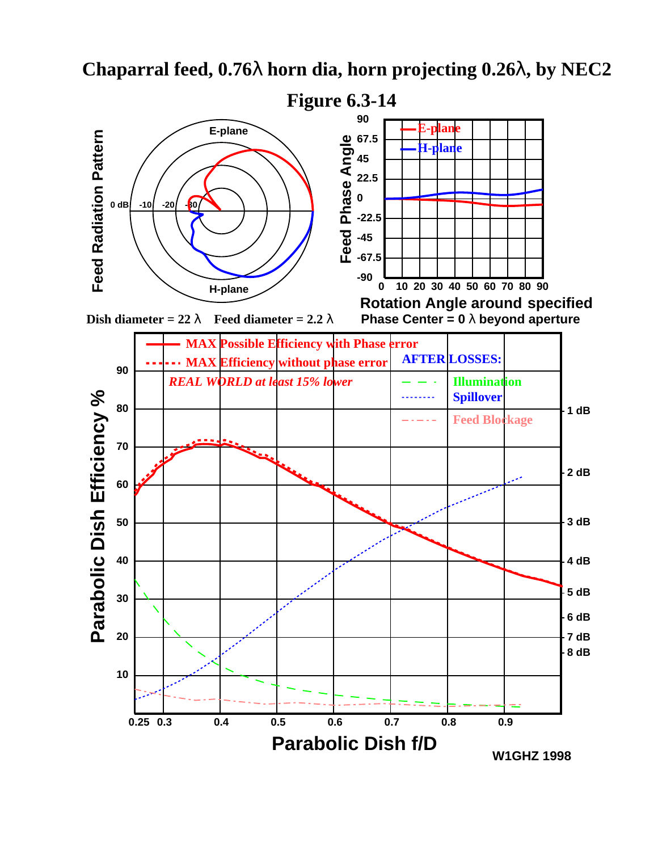

**0.25 0.3 0.4 0.5 0.6 0.7 0.8 0.9**

**Parabolic Dish f/D**

## **Chaparral feed, 0.76**λ **horn dia, horn projecting 0.26**λ**, by NEC2**

**W1GHZ 1998**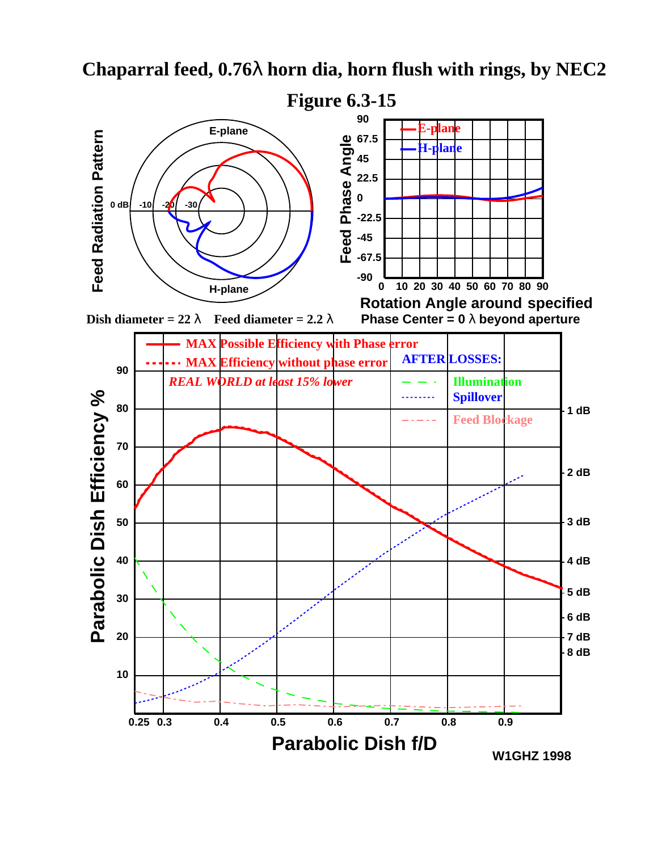

## **Chaparral feed, 0.76**λ **horn dia, horn flush with rings, by NEC2**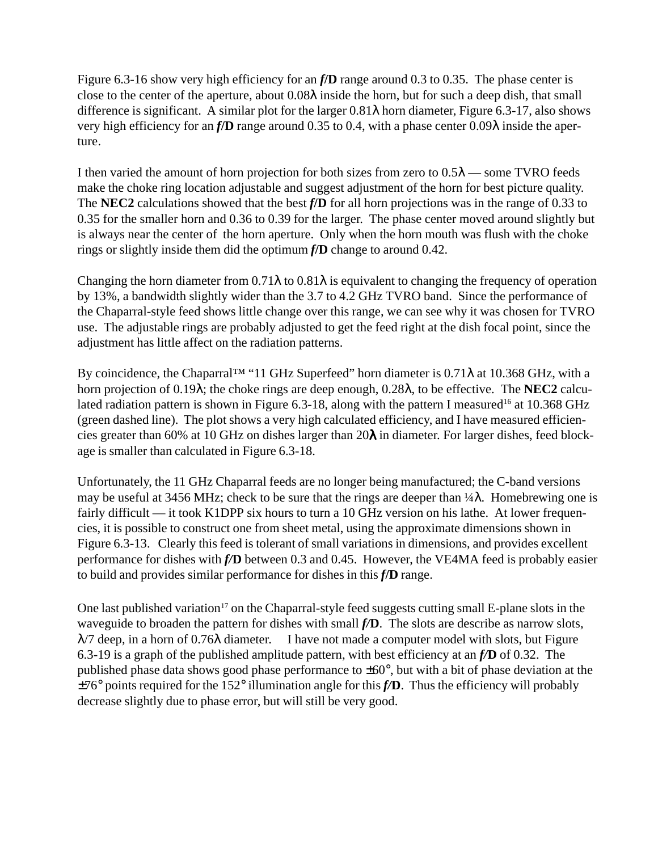Figure 6.3-16 show very high efficiency for an *f***/D** range around 0.3 to 0.35. The phase center is close to the center of the aperture, about 0.08λ inside the horn, but for such a deep dish, that small difference is significant. A similar plot for the larger  $0.81\lambda$  horn diameter, Figure 6.3-17, also shows very high efficiency for an *f***/D** range around 0.35 to 0.4, with a phase center 0.09λ inside the aperture.

I then varied the amount of horn projection for both sizes from zero to  $0.5\lambda$  — some TVRO feeds make the choke ring location adjustable and suggest adjustment of the horn for best picture quality. The **NEC2** calculations showed that the best *f***/D** for all horn projections was in the range of 0.33 to 0.35 for the smaller horn and 0.36 to 0.39 for the larger. The phase center moved around slightly but is always near the center of the horn aperture. Only when the horn mouth was flush with the choke rings or slightly inside them did the optimum *f***/D** change to around 0.42.

Changing the horn diameter from  $0.71\lambda$  to  $0.81\lambda$  is equivalent to changing the frequency of operation by 13%, a bandwidth slightly wider than the 3.7 to 4.2 GHz TVRO band. Since the performance of the Chaparral-style feed shows little change over this range, we can see why it was chosen for TVRO use. The adjustable rings are probably adjusted to get the feed right at the dish focal point, since the adjustment has little affect on the radiation patterns.

By coincidence, the Chaparral<sup>TM</sup> "11 GHz Superfeed" horn diameter is  $0.71\lambda$  at 10.368 GHz, with a horn projection of 0.19λ; the choke rings are deep enough, 0.28λ, to be effective. The **NEC2** calculated radiation pattern is shown in Figure 6.3-18, along with the pattern I measured<sup>16</sup> at 10.368 GHz (green dashed line). The plot shows a very high calculated efficiency, and I have measured efficiencies greater than 60% at 10 GHz on dishes larger than 20λ in diameter. For larger dishes, feed blockage is smaller than calculated in Figure 6.3-18.

Unfortunately, the 11 GHz Chaparral feeds are no longer being manufactured; the C-band versions may be useful at 3456 MHz; check to be sure that the rings are deeper than  $\frac{1}{4}\lambda$ . Homebrewing one is fairly difficult — it took K1DPP six hours to turn a 10 GHz version on his lathe. At lower frequencies, it is possible to construct one from sheet metal, using the approximate dimensions shown in Figure 6.3-13. Clearly this feed is tolerant of small variations in dimensions, and provides excellent performance for dishes with *f/***D** between 0.3 and 0.45. However, the VE4MA feed is probably easier to build and provides similar performance for dishes in this *f***/D** range.

One last published variation<sup>17</sup> on the Chaparral-style feed suggests cutting small E-plane slots in the waveguide to broaden the pattern for dishes with small *f/***D**. The slots are describe as narrow slots,  $\lambda$ /7 deep, in a horn of 0.76 $\lambda$  diameter. I have not made a computer model with slots, but Figure 6.3-19 is a graph of the published amplitude pattern, with best efficiency at an *f/***D** of 0.32. The published phase data shows good phase performance to  $\pm 60^{\circ}$ , but with a bit of phase deviation at the ±76° points required for the 152° illumination angle for this *f/***D**. Thus the efficiency will probably decrease slightly due to phase error, but will still be very good.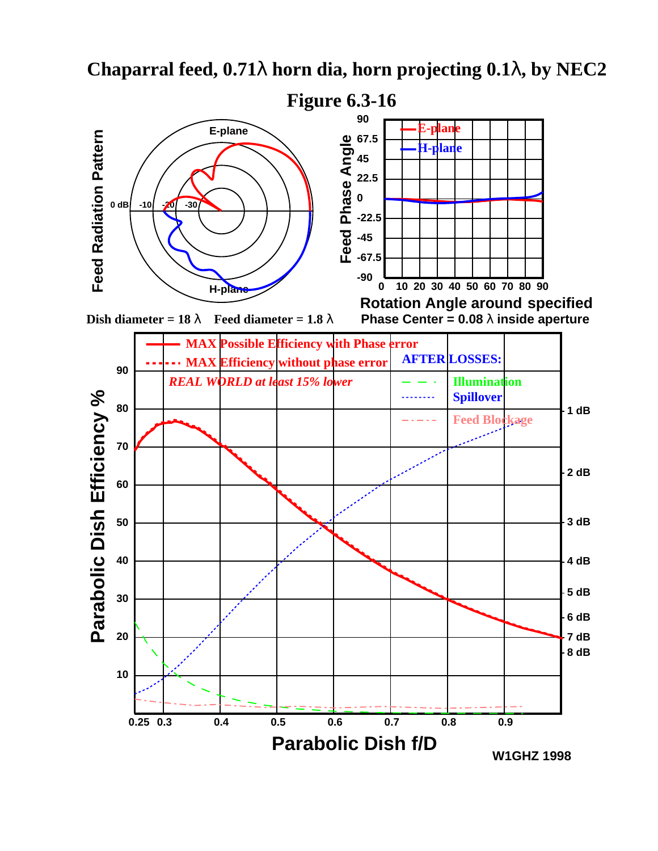

## **Chaparral feed, 0.71**λ **horn dia, horn projecting 0.1**λ**, by NEC2**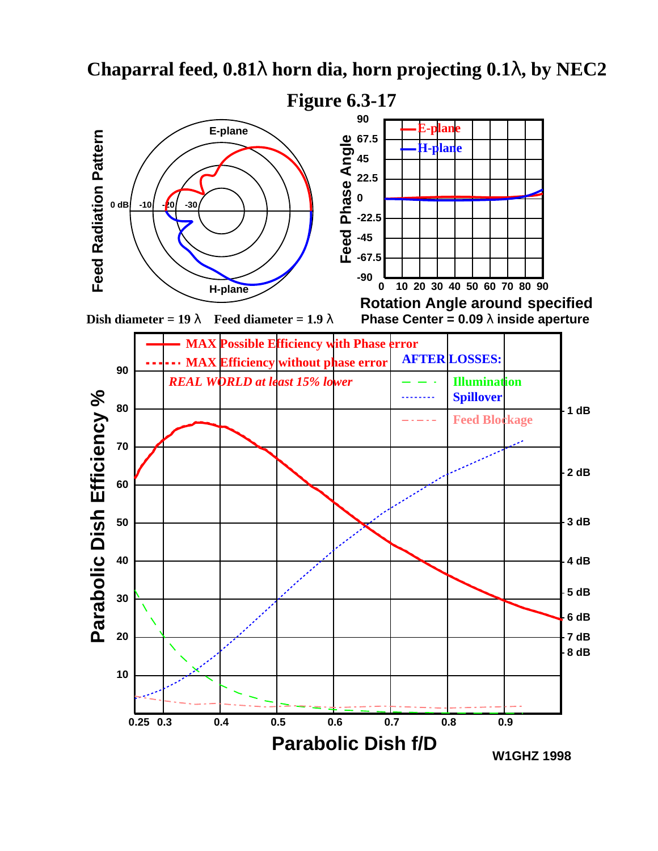

## **Chaparral feed, 0.81**λ **horn dia, horn projecting 0.1**λ**, by NEC2**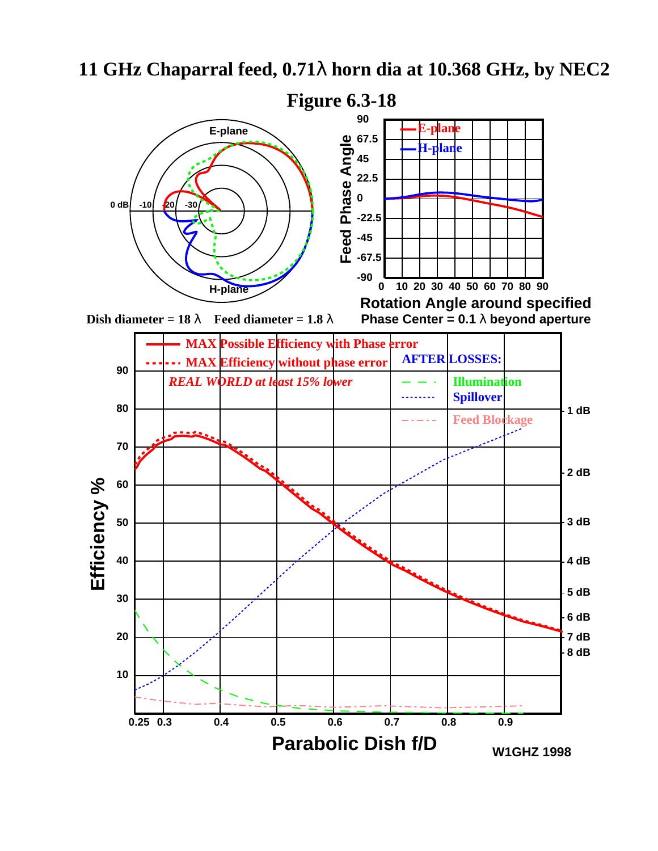## **11 GHz Chaparral feed, 0.71**λ **horn dia at 10.368 GHz, by NEC2**

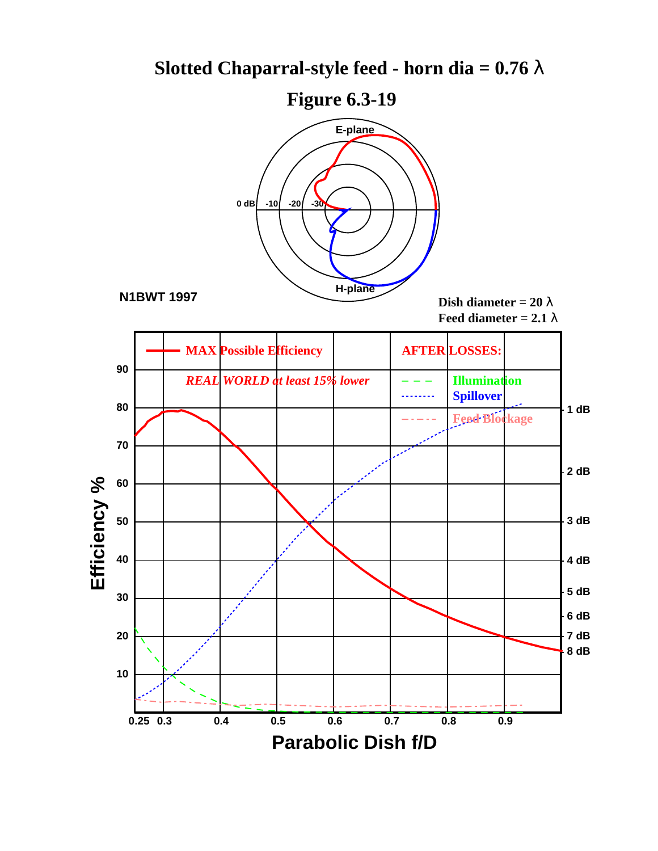## **Slotted Chaparral-style feed - horn dia = 0.76**  $\lambda$